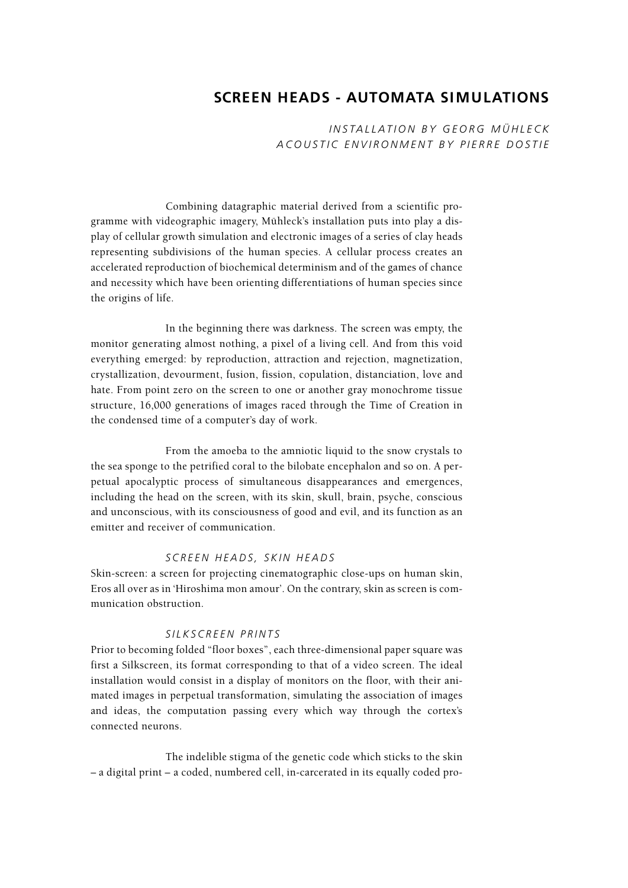# **SCREEN HEADS - AUTOMATA SIMULATIONS**

*I NSTALLATION BY GEORG MÜHLECK ACOUSTIC ENVIRONMENT BY PIERRE DOSTIE*

Combining datagraphic material derived from a scientific programme with videographic imagery, Mühleck's installation puts into play a display of cellular growth simulation and electronic images of a series of clay heads representing subdivisions of the human species. A cellular process creates an accelerated reproduction of biochemical determinism and of the games of chance and necessity which have been orienting differentiations of human species since the origins of life.

In the beginning there was darkness. The screen was empty, the monitor generating almost nothing, a pixel of a living cell. And from this void everything emerged: by reproduction, attraction and rejection, magnetization, crystallization, devourment, fusion, fission, copulation, distanciation, love and hate. From point zero on the screen to one or another gray monochrome tissue structure, 16,000 generations of images raced through the Time of Creation in the condensed time of a computer's day of work.

From the amoeba to the amniotic liquid to the snow crystals to the sea sponge to the petrified coral to the bilobate encephalon and so on. A perpetual apocalyptic process of simultaneous disappearances and emergences, including the head on the screen, with its skin, skull, brain, psyche, conscious and unconscious, with its consciousness of good and evil, and its function as an emitter and receiver of communication.

#### *SCREEN HEADS, SKIN HEADS*

Skin-screen: a screen for projecting cinematographic close-ups on human skin, Eros all over as in 'Hiroshima mon amour'. On the contrary, skin as screen is communication obstruction.

#### *SILKSCREEN PRINTS*

Prior to becoming folded "floor boxes", each three-dimensional paper square was first a Silkscreen, its format corresponding to that of a video screen. The ideal installation would consist in a display of monitors on the floor, with their animated images in perpetual transformation, simulating the association of images and ideas, the computation passing every which way through the cortex's connected neurons.

The indelible stigma of the genetic code which sticks to the skin – a digital print – a coded, numbered cell, in-carcerated in its equally coded pro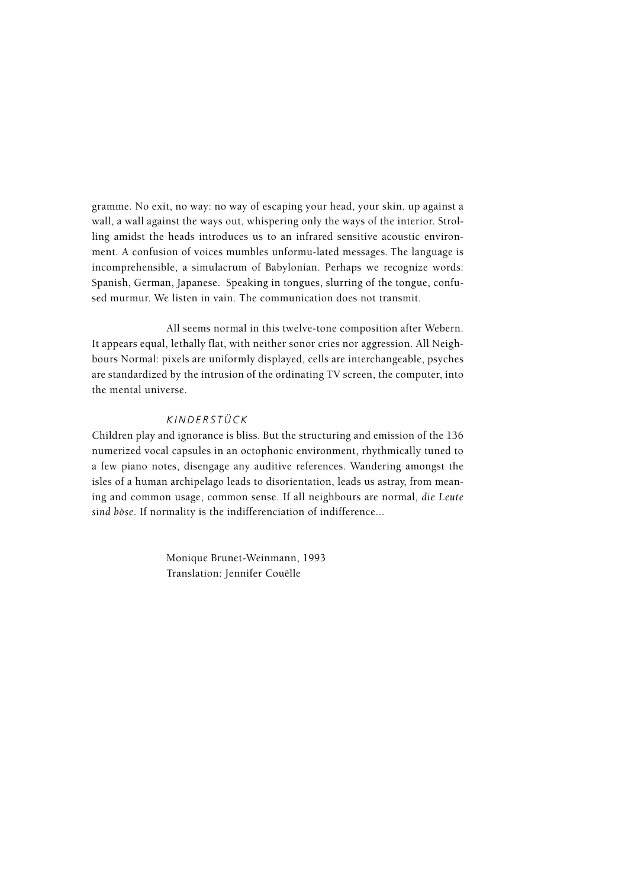gramme. No exit, no way: no way of escaping your head, your skin, up against a wall, a wall against the ways out, whispering only the ways of the interior. Strolling amidst the heads introduces us to an infrared sensitive acoustic environment. A confusion of voices mumbles unformu-lated messages. The language is incomprehensible, a simulacrum of Babylonian. Perhaps we recognize words: Spanish, German, Japanese. Speaking in tongues, slurring of the tongue, confused murmur. We listen in vain. The communication does not transmit.

All seems normal in this twelve-tone composition after Webern. It appears equal, lethally flat, with neither sonor cries nor aggression. All Neighbours Normal: pixels are uniformly displayed, cells are interchangeable, psyches are standardized by the intrusion of the ordinating TV screen, the computer, into the mental universe.

#### *KINDERSTÜCK*

Children play and ignorance is bliss. But the structuring and emission of the 136 numerized vocal capsules in an octophonic environment, rhythmically tuned to a few piano notes, disengage any auditive references. Wandering amongst the isles of a human archipelago leads to disorientation, leads us astray, from meaning and common usage, common sense. If all neighbours are normal, *die Leute sind böse*. If normality is the indifferenciation of indifference...

> Monique Brunet-Weinmann, 1993 Translation: Jennifer Couëlle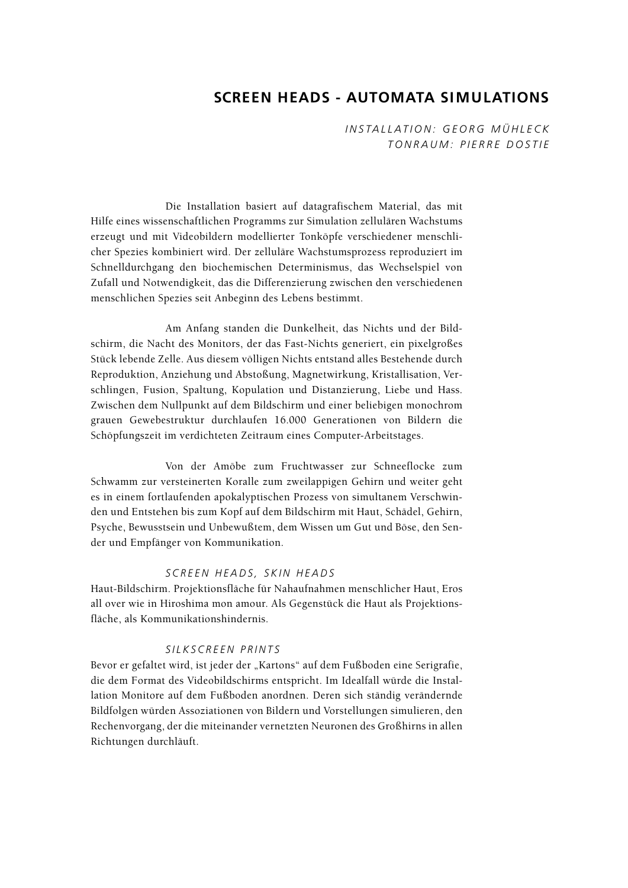# **SCREEN HEADS - AUTOMATA SIMULATIONS**

*I NSTALLATION: GEORG MÜHLECK TONRAUM: PIERRE DOSTIE*

Die Installation basiert auf datagrafischem Material, das mit Hilfe eines wissenschaftlichen Programms zur Simulation zellulären Wachstums erzeugt und mit Videobildern modellierter Tonköpfe verschiedener menschlicher Spezies kombiniert wird. Der zelluläre Wachstumsprozess reproduziert im Schnelldurchgang den biochemischen Determinismus, das Wechselspiel von Zufall und Notwendigkeit, das die Differenzierung zwischen den verschiedenen menschlichen Spezies seit Anbeginn des Lebens bestimmt.

Am Anfang standen die Dunkelheit, das Nichts und der Bildschirm, die Nacht des Monitors, der das Fast-Nichts generiert, ein pixelgroßes Stück lebende Zelle. Aus diesem völligen Nichts entstand alles Bestehende durch Reproduktion, Anziehung und Abstoßung, Magnetwirkung, Kristallisation, Verschlingen, Fusion, Spaltung, Kopulation und Distanzierung, Liebe und Hass. Zwischen dem Nullpunkt auf dem Bildschirm und einer beliebigen monochrom grauen Gewebestruktur durchlaufen 16.000 Generationen von Bildern die Schöpfungszeit im verdichteten Zeitraum eines Computer-Arbeitstages.

Von der Amöbe zum Fruchtwasser zur Schneeflocke zum Schwamm zur versteinerten Koralle zum zweilappigen Gehirn und weiter geht es in einem fortlaufenden apokalyptischen Prozess von simultanem Verschwinden und Entstehen bis zum Kopf auf dem Bildschirm mit Haut, Schädel, Gehirn, Psyche, Bewusstsein und Unbewußtem, dem Wissen um Gut und Böse, den Sender und Empfänger von Kommunikation.

## *SCREEN HEADS, SKIN HEADS*

Haut-Bildschirm. Projektionsfläche für Nahaufnahmen menschlicher Haut, Eros all over wie in Hiroshima mon amour. Als Gegenstück die Haut als Projektionsfläche, als Kommunikationshindernis.

#### *SILKSCREEN PRINTS*

Bevor er gefaltet wird, ist jeder der "Kartons" auf dem Fußboden eine Serigrafie, die dem Format des Videobildschirms entspricht. Im Idealfall würde die Installation Monitore auf dem Fußboden anordnen. Deren sich ständig verändernde Bildfolgen würden Assoziationen von Bildern und Vorstellungen simulieren, den Rechenvorgang, der die miteinander vernetzten Neuronen des Großhirns in allen Richtungen durchläuft.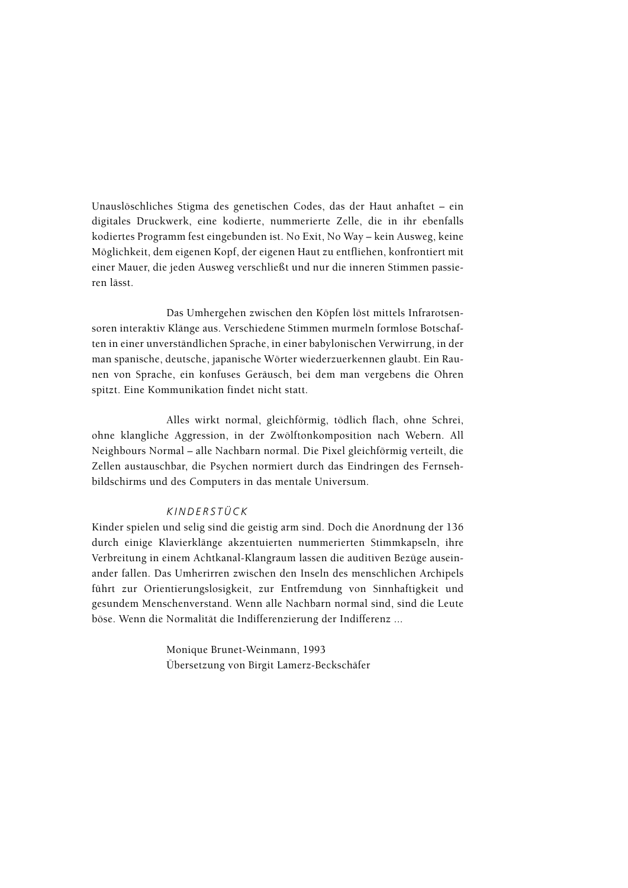Unauslöschliches Stigma des genetischen Codes, das der Haut anhaftet – ein digitales Druckwerk, eine kodierte, nummerierte Zelle, die in ihr ebenfalls kodiertes Programm fest eingebunden ist. No Exit, No Way – kein Ausweg, keine Möglichkeit, dem eigenen Kopf, der eigenen Haut zu entfliehen, konfrontiert mit einer Mauer, die jeden Ausweg verschließt und nur die inneren Stimmen passieren lässt.

Das Umhergehen zwischen den Köpfen löst mittels Infrarotsensoren interaktiv Klänge aus. Verschiedene Stimmen murmeln formlose Botschaften in einer unverständlichen Sprache, in einer babylonischen Verwirrung, in der man spanische, deutsche, japanische Wörter wiederzuerkennen glaubt. Ein Raunen von Sprache, ein konfuses Geräusch, bei dem man vergebens die Ohren spitzt. Eine Kommunikation findet nicht statt.

Alles wirkt normal, gleichförmig, tödlich flach, ohne Schrei, ohne klangliche Aggression, in der Zwölftonkomposition nach Webern. All Neighbours Normal – alle Nachbarn normal. Die Pixel gleichförmig verteilt, die Zellen austauschbar, die Psychen normiert durch das Eindringen des Fernsehbildschirms und des Computers in das mentale Universum.

#### *KINDERSTÜCK*

Kinder spielen und selig sind die geistig arm sind. Doch die Anordnung der 136 durch einige Klavierklänge akzentuierten nummerierten Stimmkapseln, ihre Verbreitung in einem Achtkanal-Klangraum lassen die auditiven Bezüge auseinander fallen. Das Umherirren zwischen den Inseln des menschlichen Archipels führt zur Orientierungslosigkeit, zur Entfremdung von Sinnhaftigkeit und gesundem Menschenverstand. Wenn alle Nachbarn normal sind, sind die Leute böse. Wenn die Normalität die Indifferenzierung der Indifferenz ...

> Monique Brunet-Weinmann, 1993 Übersetzung von Birgit Lamerz-Beckschäfer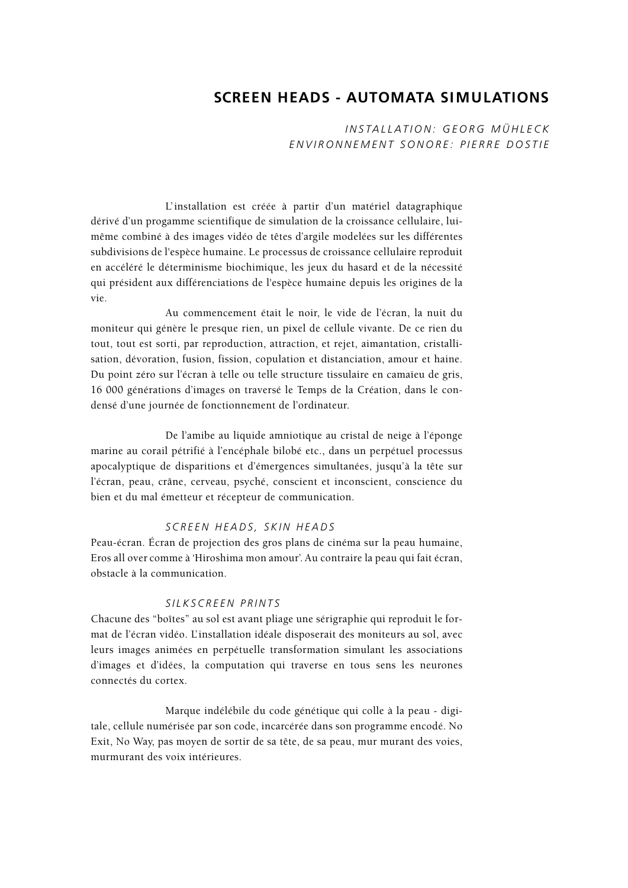# **SCREEN HEADS - AUTOMATA SIMULATIONS**

*I NSTALLATION: GEORG MÜHLECK ENVIRONNEMENT SONORE: PIERRE DOSTIE*

L' installation est créée à partir d'un matériel datagraphique dérivé d'un progamme scientifique de simulation de la croissance cellulaire, luimême combiné à des images vidéo de têtes d'argile modelées sur les différentes subdivisions de l'espèce humaine. Le processus de croissance cellulaire reproduit en accéléré le déterminisme biochimique, les jeux du hasard et de la nécessité qui président aux différenciations de l'espèce humaine depuis les origines de la vie.

Au commencement était le noir, le vide de l'écran, la nuit du moniteur qui génère le presque rien, un pixel de cellule vivante. De ce rien du tout, tout est sorti, par reproduction, attraction, et rejet, aimantation, cristallisation, dévoration, fusion, fission, copulation et distanciation, amour et haine. Du point zéro sur l'écran à telle ou telle structure tissulaire en camaïeu de gris, 16 000 générations d'images on traversé le Temps de la Création, dans le condensé d'une journée de fonctionnement de l'ordinateur.

De l'amibe au liquide amniotique au cristal de neige à l'éponge marine au corail pétrifié à l'encéphale bilobé etc., dans un perpétuel processus apocalyptique de disparitions et d'émergences simultanées, jusqu'à la tête sur l'écran, peau, crâne, cerveau, psyché, conscient et inconscient, conscience du bien et du mal émetteur et récepteur de communication.

#### *SCREEN HEADS, SKIN HEADS*

Peau-écran. Écran de projection des gros plans de cinéma sur la peau humaine, Eros all over comme à 'Hiroshima mon amour'. Au contraire la peau qui fait écran, obstacle à la communication.

#### *SILKSCREEN PRINTS*

Chacune des "boîtes" au sol est avant pliage une sérigraphie qui reproduit le format de l'écran vidéo. L'installation idéale disposerait des moniteurs au sol, avec leurs images animées en perpétuelle transformation simulant les associations d'images et d'idées, la computation qui traverse en tous sens les neurones connectés du cortex.

Marque indélébile du code génétique qui colle à la peau - digitale, cellule numérisée par son code, incarcérée dans son programme encodé. No Exit, No Way, pas moyen de sortir de sa tête, de sa peau, mur murant des voies, murmurant des voix intérieures.